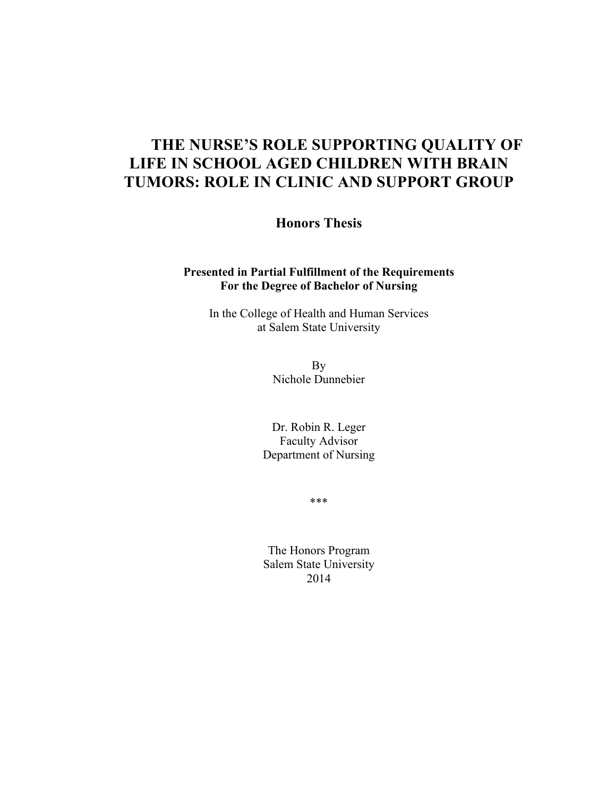# **THE NURSE'S ROLE SUPPORTING QUALITY OF LIFE IN SCHOOL AGED CHILDREN WITH BRAIN TUMORS: ROLE IN CLINIC AND SUPPORT GROUP**

**Honors Thesis**

#### **Presented in Partial Fulfillment of the Requirements For the Degree of Bachelor of Nursing**

In the College of Health and Human Services at Salem State University

> By Nichole Dunnebier

Dr. Robin R. Leger Faculty Advisor Department of Nursing

\*\*\*

The Honors Program Salem State University 2014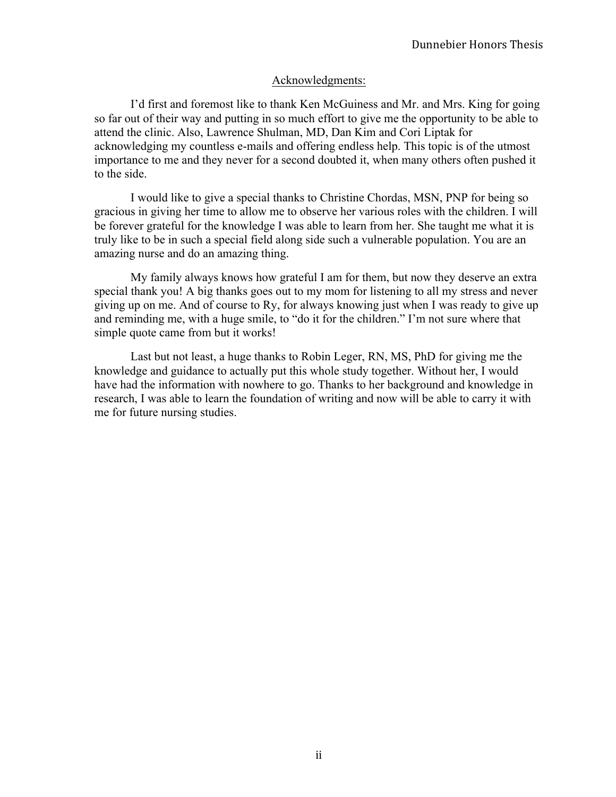## Acknowledgments:

I'd first and foremost like to thank Ken McGuiness and Mr. and Mrs. King for going so far out of their way and putting in so much effort to give me the opportunity to be able to attend the clinic. Also, Lawrence Shulman, MD, Dan Kim and Cori Liptak for acknowledging my countless e-mails and offering endless help. This topic is of the utmost importance to me and they never for a second doubted it, when many others often pushed it to the side.

I would like to give a special thanks to Christine Chordas, MSN, PNP for being so gracious in giving her time to allow me to observe her various roles with the children. I will be forever grateful for the knowledge I was able to learn from her. She taught me what it is truly like to be in such a special field along side such a vulnerable population. You are an amazing nurse and do an amazing thing.

My family always knows how grateful I am for them, but now they deserve an extra special thank you! A big thanks goes out to my mom for listening to all my stress and never giving up on me. And of course to Ry, for always knowing just when I was ready to give up and reminding me, with a huge smile, to "do it for the children." I'm not sure where that simple quote came from but it works!

Last but not least, a huge thanks to Robin Leger, RN, MS, PhD for giving me the knowledge and guidance to actually put this whole study together. Without her, I would have had the information with nowhere to go. Thanks to her background and knowledge in research, I was able to learn the foundation of writing and now will be able to carry it with me for future nursing studies.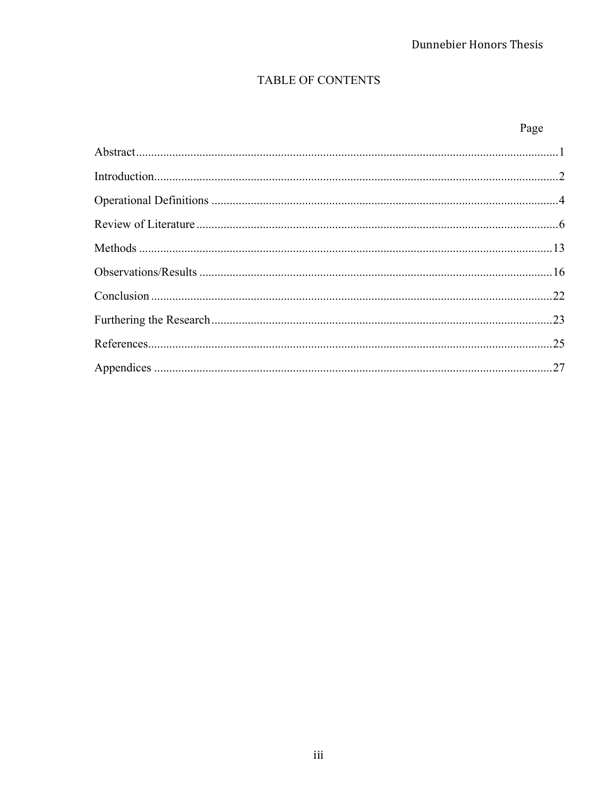# TABLE OF CONTENTS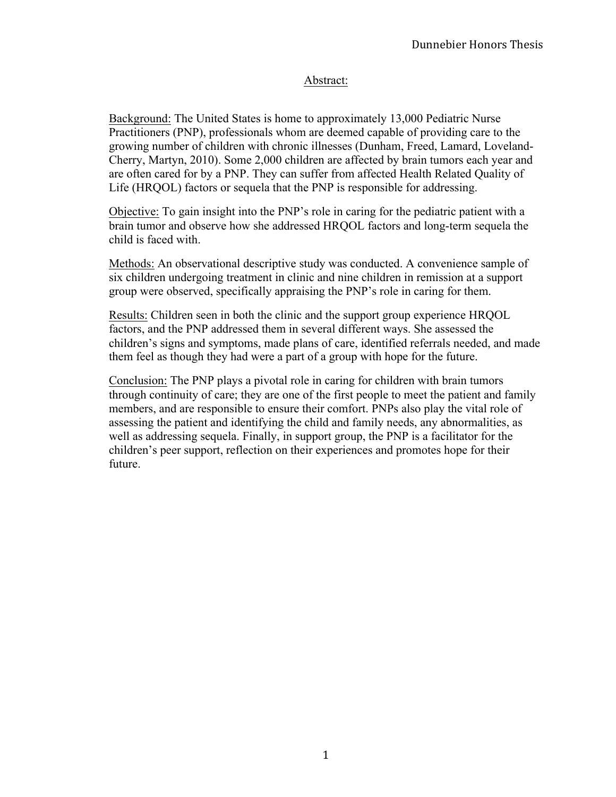# Abstract:

Background: The United States is home to approximately 13,000 Pediatric Nurse Practitioners (PNP), professionals whom are deemed capable of providing care to the growing number of children with chronic illnesses (Dunham, Freed, Lamard, Loveland-Cherry, Martyn, 2010). Some 2,000 children are affected by brain tumors each year and are often cared for by a PNP. They can suffer from affected Health Related Quality of Life (HRQOL) factors or sequela that the PNP is responsible for addressing.

Objective: To gain insight into the PNP's role in caring for the pediatric patient with a brain tumor and observe how she addressed HRQOL factors and long-term sequela the child is faced with.

Methods: An observational descriptive study was conducted. A convenience sample of six children undergoing treatment in clinic and nine children in remission at a support group were observed, specifically appraising the PNP's role in caring for them.

Results: Children seen in both the clinic and the support group experience HRQOL factors, and the PNP addressed them in several different ways. She assessed the children's signs and symptoms, made plans of care, identified referrals needed, and made them feel as though they had were a part of a group with hope for the future.

Conclusion: The PNP plays a pivotal role in caring for children with brain tumors through continuity of care; they are one of the first people to meet the patient and family members, and are responsible to ensure their comfort. PNPs also play the vital role of assessing the patient and identifying the child and family needs, any abnormalities, as well as addressing sequela. Finally, in support group, the PNP is a facilitator for the children's peer support, reflection on their experiences and promotes hope for their future.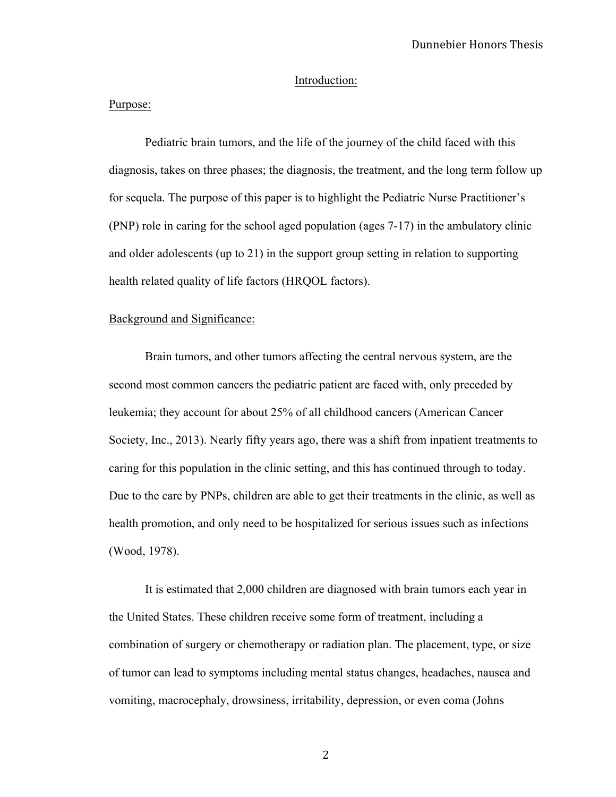#### Introduction:

#### Purpose:

Pediatric brain tumors, and the life of the journey of the child faced with this diagnosis, takes on three phases; the diagnosis, the treatment, and the long term follow up for sequela. The purpose of this paper is to highlight the Pediatric Nurse Practitioner's (PNP) role in caring for the school aged population (ages 7-17) in the ambulatory clinic and older adolescents (up to 21) in the support group setting in relation to supporting health related quality of life factors (HRQOL factors).

#### Background and Significance:

Brain tumors, and other tumors affecting the central nervous system, are the second most common cancers the pediatric patient are faced with, only preceded by leukemia; they account for about 25% of all childhood cancers (American Cancer Society, Inc., 2013). Nearly fifty years ago, there was a shift from inpatient treatments to caring for this population in the clinic setting, and this has continued through to today. Due to the care by PNPs, children are able to get their treatments in the clinic, as well as health promotion, and only need to be hospitalized for serious issues such as infections (Wood, 1978).

It is estimated that 2,000 children are diagnosed with brain tumors each year in the United States. These children receive some form of treatment, including a combination of surgery or chemotherapy or radiation plan. The placement, type, or size of tumor can lead to symptoms including mental status changes, headaches, nausea and vomiting, macrocephaly, drowsiness, irritability, depression, or even coma (Johns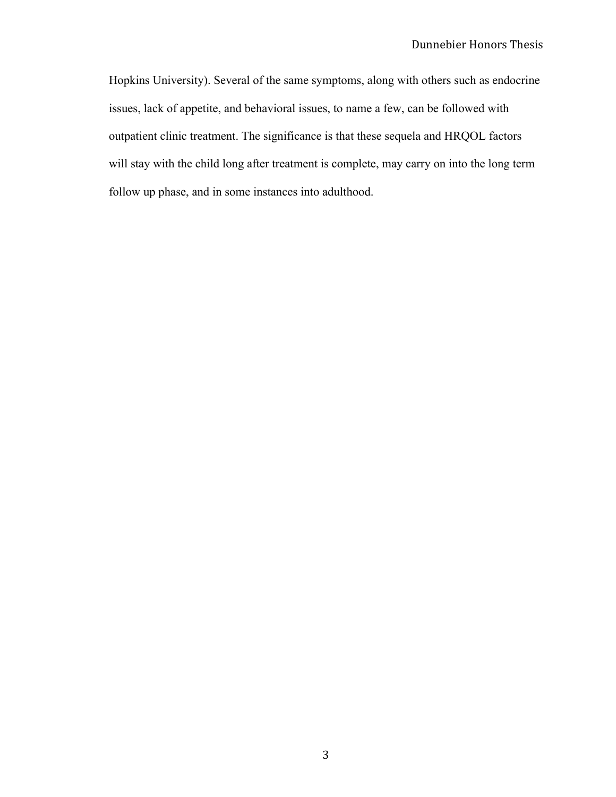Hopkins University). Several of the same symptoms, along with others such as endocrine issues, lack of appetite, and behavioral issues, to name a few, can be followed with outpatient clinic treatment. The significance is that these sequela and HRQOL factors will stay with the child long after treatment is complete, may carry on into the long term follow up phase, and in some instances into adulthood.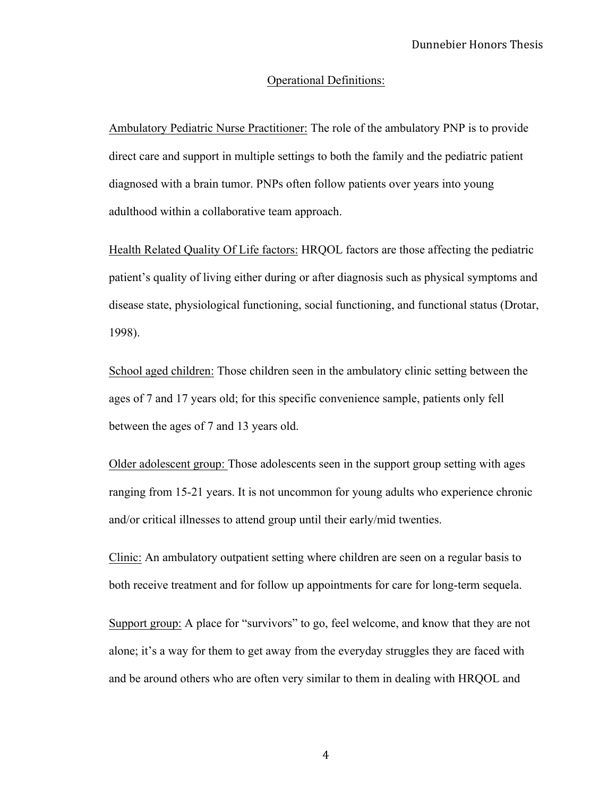#### Operational Definitions:

Ambulatory Pediatric Nurse Practitioner: The role of the ambulatory PNP is to provide direct care and support in multiple settings to both the family and the pediatric patient diagnosed with a brain tumor. PNPs often follow patients over years into young adulthood within a collaborative team approach.

Health Related Quality Of Life factors: HRQOL factors are those affecting the pediatric patient's quality of living either during or after diagnosis such as physical symptoms and disease state, physiological functioning, social functioning, and functional status (Drotar, 1998).

School aged children: Those children seen in the ambulatory clinic setting between the ages of 7 and 17 years old; for this specific convenience sample, patients only fell between the ages of 7 and 13 years old.

Older adolescent group: Those adolescents seen in the support group setting with ages ranging from 15-21 years. It is not uncommon for young adults who experience chronic and/or critical illnesses to attend group until their early/mid twenties.

Clinic: An ambulatory outpatient setting where children are seen on a regular basis to both receive treatment and for follow up appointments for care for long-term sequela.

Support group: A place for "survivors" to go, feel welcome, and know that they are not alone; it's a way for them to get away from the everyday struggles they are faced with and be around others who are often very similar to them in dealing with HRQOL and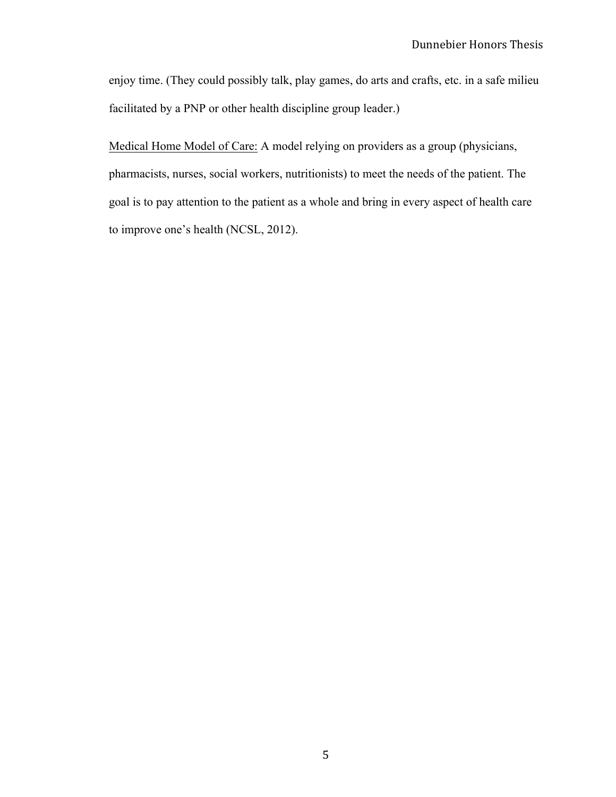enjoy time. (They could possibly talk, play games, do arts and crafts, etc. in a safe milieu facilitated by a PNP or other health discipline group leader.)

Medical Home Model of Care: A model relying on providers as a group (physicians, pharmacists, nurses, social workers, nutritionists) to meet the needs of the patient. The goal is to pay attention to the patient as a whole and bring in every aspect of health care to improve one's health (NCSL, 2012).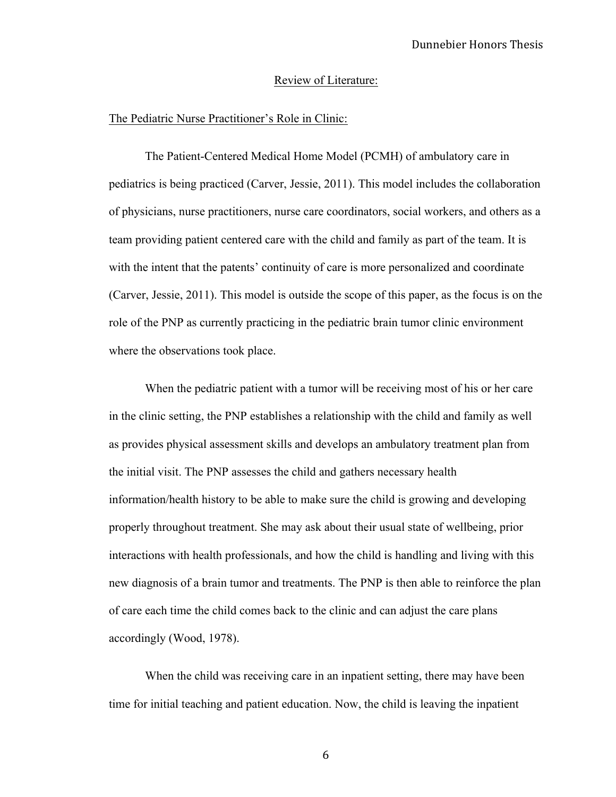#### Review of Literature:

#### The Pediatric Nurse Practitioner's Role in Clinic:

The Patient-Centered Medical Home Model (PCMH) of ambulatory care in pediatrics is being practiced (Carver, Jessie, 2011). This model includes the collaboration of physicians, nurse practitioners, nurse care coordinators, social workers, and others as a team providing patient centered care with the child and family as part of the team. It is with the intent that the patents' continuity of care is more personalized and coordinate (Carver, Jessie, 2011). This model is outside the scope of this paper, as the focus is on the role of the PNP as currently practicing in the pediatric brain tumor clinic environment where the observations took place.

When the pediatric patient with a tumor will be receiving most of his or her care in the clinic setting, the PNP establishes a relationship with the child and family as well as provides physical assessment skills and develops an ambulatory treatment plan from the initial visit. The PNP assesses the child and gathers necessary health information/health history to be able to make sure the child is growing and developing properly throughout treatment. She may ask about their usual state of wellbeing, prior interactions with health professionals, and how the child is handling and living with this new diagnosis of a brain tumor and treatments. The PNP is then able to reinforce the plan of care each time the child comes back to the clinic and can adjust the care plans accordingly (Wood, 1978).

When the child was receiving care in an inpatient setting, there may have been time for initial teaching and patient education. Now, the child is leaving the inpatient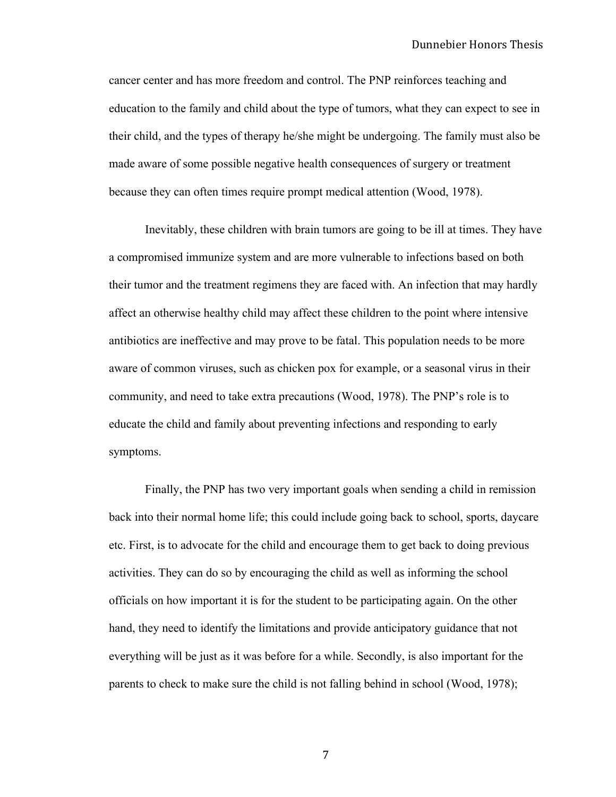cancer center and has more freedom and control. The PNP reinforces teaching and education to the family and child about the type of tumors, what they can expect to see in their child, and the types of therapy he/she might be undergoing. The family must also be made aware of some possible negative health consequences of surgery or treatment because they can often times require prompt medical attention (Wood, 1978).

Inevitably, these children with brain tumors are going to be ill at times. They have a compromised immunize system and are more vulnerable to infections based on both their tumor and the treatment regimens they are faced with. An infection that may hardly affect an otherwise healthy child may affect these children to the point where intensive antibiotics are ineffective and may prove to be fatal. This population needs to be more aware of common viruses, such as chicken pox for example, or a seasonal virus in their community, and need to take extra precautions (Wood, 1978). The PNP's role is to educate the child and family about preventing infections and responding to early symptoms.

Finally, the PNP has two very important goals when sending a child in remission back into their normal home life; this could include going back to school, sports, daycare etc. First, is to advocate for the child and encourage them to get back to doing previous activities. They can do so by encouraging the child as well as informing the school officials on how important it is for the student to be participating again. On the other hand, they need to identify the limitations and provide anticipatory guidance that not everything will be just as it was before for a while. Secondly, is also important for the parents to check to make sure the child is not falling behind in school (Wood, 1978);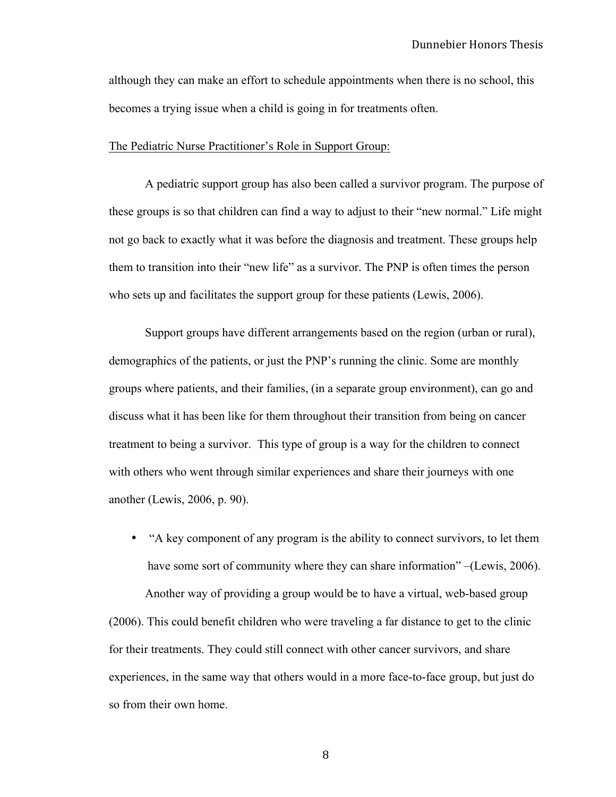although they can make an effort to schedule appointments when there is no school, this becomes a trying issue when a child is going in for treatments often.

#### The Pediatric Nurse Practitioner's Role in Support Group:

A pediatric support group has also been called a survivor program. The purpose of these groups is so that children can find a way to adjust to their "new normal." Life might not go back to exactly what it was before the diagnosis and treatment. These groups help them to transition into their "new life" as a survivor. The PNP is often times the person who sets up and facilitates the support group for these patients (Lewis, 2006).

Support groups have different arrangements based on the region (urban or rural), demographics of the patients, or just the PNP's running the clinic. Some are monthly groups where patients, and their families, (in a separate group environment), can go and discuss what it has been like for them throughout their transition from being on cancer treatment to being a survivor. This type of group is a way for the children to connect with others who went through similar experiences and share their journeys with one another (Lewis, 2006, p. 90).

• "A key component of any program is the ability to connect survivors, to let them have some sort of community where they can share information" –(Lewis, 2006).

Another way of providing a group would be to have a virtual, web-based group (2006). This could benefit children who were traveling a far distance to get to the clinic for their treatments. They could still connect with other cancer survivors, and share experiences, in the same way that others would in a more face-to-face group, but just do so from their own home.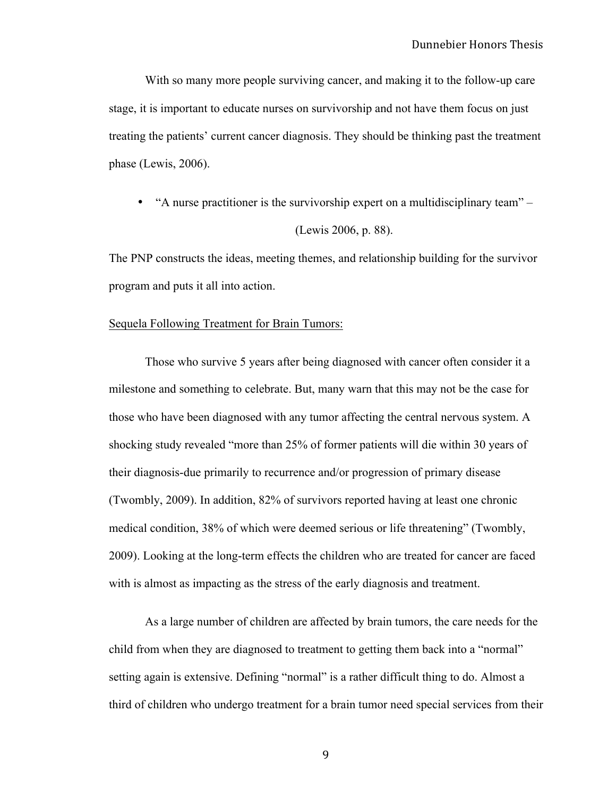With so many more people surviving cancer, and making it to the follow-up care stage, it is important to educate nurses on survivorship and not have them focus on just treating the patients' current cancer diagnosis. They should be thinking past the treatment phase (Lewis, 2006).

• "A nurse practitioner is the survivorship expert on a multidisciplinary team" – (Lewis 2006, p. 88).

The PNP constructs the ideas, meeting themes, and relationship building for the survivor program and puts it all into action.

#### Sequela Following Treatment for Brain Tumors:

Those who survive 5 years after being diagnosed with cancer often consider it a milestone and something to celebrate. But, many warn that this may not be the case for those who have been diagnosed with any tumor affecting the central nervous system. A shocking study revealed "more than 25% of former patients will die within 30 years of their diagnosis-due primarily to recurrence and/or progression of primary disease (Twombly, 2009). In addition, 82% of survivors reported having at least one chronic medical condition, 38% of which were deemed serious or life threatening" (Twombly, 2009). Looking at the long-term effects the children who are treated for cancer are faced with is almost as impacting as the stress of the early diagnosis and treatment.

As a large number of children are affected by brain tumors, the care needs for the child from when they are diagnosed to treatment to getting them back into a "normal" setting again is extensive. Defining "normal" is a rather difficult thing to do. Almost a third of children who undergo treatment for a brain tumor need special services from their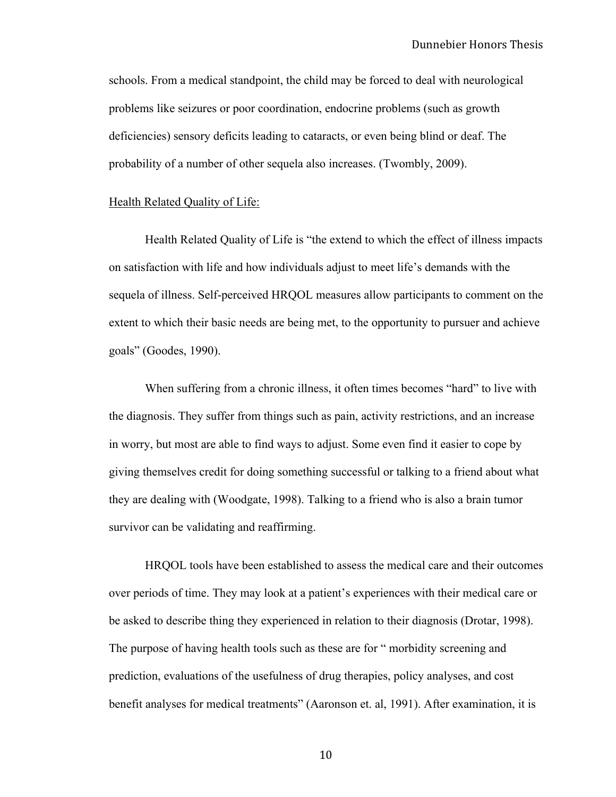schools. From a medical standpoint, the child may be forced to deal with neurological problems like seizures or poor coordination, endocrine problems (such as growth deficiencies) sensory deficits leading to cataracts, or even being blind or deaf. The probability of a number of other sequela also increases. (Twombly, 2009).

### Health Related Quality of Life:

Health Related Quality of Life is "the extend to which the effect of illness impacts on satisfaction with life and how individuals adjust to meet life's demands with the sequela of illness. Self-perceived HRQOL measures allow participants to comment on the extent to which their basic needs are being met, to the opportunity to pursuer and achieve goals" (Goodes, 1990).

When suffering from a chronic illness, it often times becomes "hard" to live with the diagnosis. They suffer from things such as pain, activity restrictions, and an increase in worry, but most are able to find ways to adjust. Some even find it easier to cope by giving themselves credit for doing something successful or talking to a friend about what they are dealing with (Woodgate, 1998). Talking to a friend who is also a brain tumor survivor can be validating and reaffirming.

HRQOL tools have been established to assess the medical care and their outcomes over periods of time. They may look at a patient's experiences with their medical care or be asked to describe thing they experienced in relation to their diagnosis (Drotar, 1998). The purpose of having health tools such as these are for " morbidity screening and prediction, evaluations of the usefulness of drug therapies, policy analyses, and cost benefit analyses for medical treatments" (Aaronson et. al, 1991). After examination, it is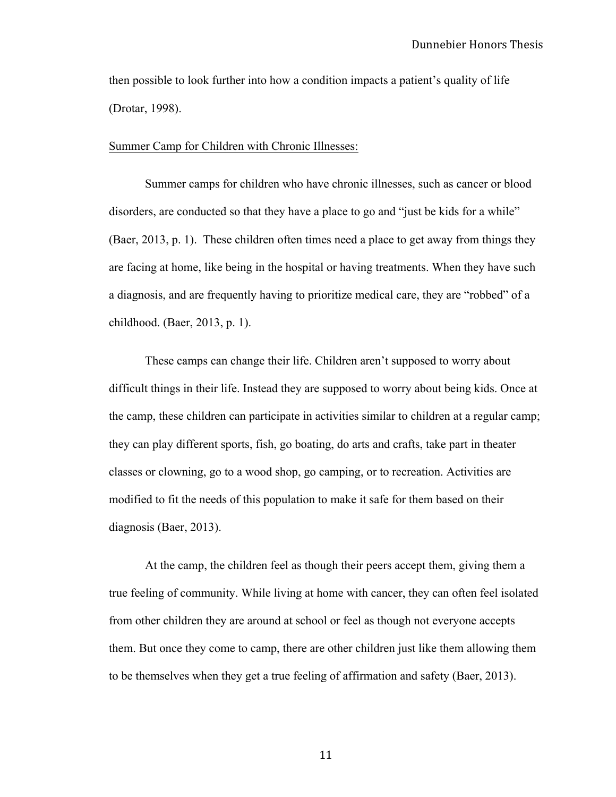then possible to look further into how a condition impacts a patient's quality of life (Drotar, 1998).

#### Summer Camp for Children with Chronic Illnesses:

Summer camps for children who have chronic illnesses, such as cancer or blood disorders, are conducted so that they have a place to go and "just be kids for a while" (Baer, 2013, p. 1). These children often times need a place to get away from things they are facing at home, like being in the hospital or having treatments. When they have such a diagnosis, and are frequently having to prioritize medical care, they are "robbed" of a childhood. (Baer, 2013, p. 1).

These camps can change their life. Children aren't supposed to worry about difficult things in their life. Instead they are supposed to worry about being kids. Once at the camp, these children can participate in activities similar to children at a regular camp; they can play different sports, fish, go boating, do arts and crafts, take part in theater classes or clowning, go to a wood shop, go camping, or to recreation. Activities are modified to fit the needs of this population to make it safe for them based on their diagnosis (Baer, 2013).

At the camp, the children feel as though their peers accept them, giving them a true feeling of community. While living at home with cancer, they can often feel isolated from other children they are around at school or feel as though not everyone accepts them. But once they come to camp, there are other children just like them allowing them to be themselves when they get a true feeling of affirmation and safety (Baer, 2013).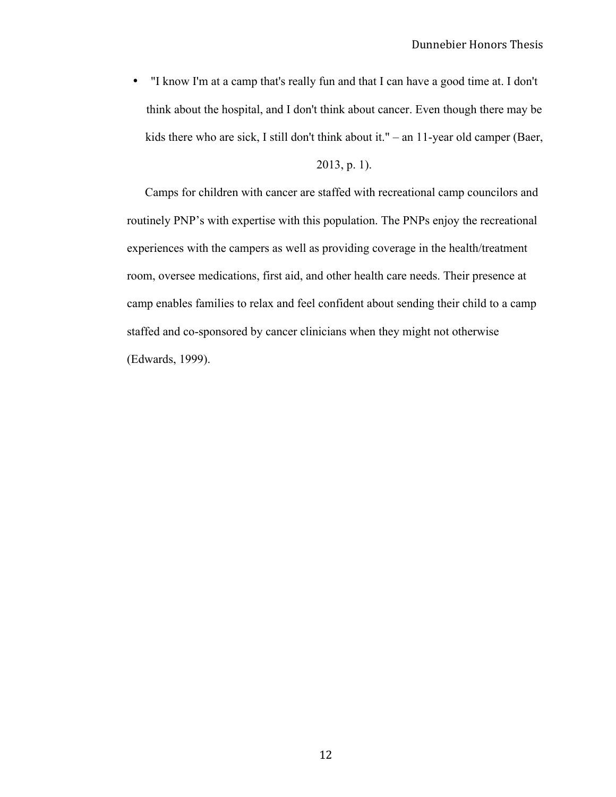• "I know I'm at a camp that's really fun and that I can have a good time at. I don't think about the hospital, and I don't think about cancer. Even though there may be kids there who are sick, I still don't think about it." – an 11-year old camper (Baer,

#### 2013, p. 1).

Camps for children with cancer are staffed with recreational camp councilors and routinely PNP's with expertise with this population. The PNPs enjoy the recreational experiences with the campers as well as providing coverage in the health/treatment room, oversee medications, first aid, and other health care needs. Their presence at camp enables families to relax and feel confident about sending their child to a camp staffed and co-sponsored by cancer clinicians when they might not otherwise (Edwards, 1999).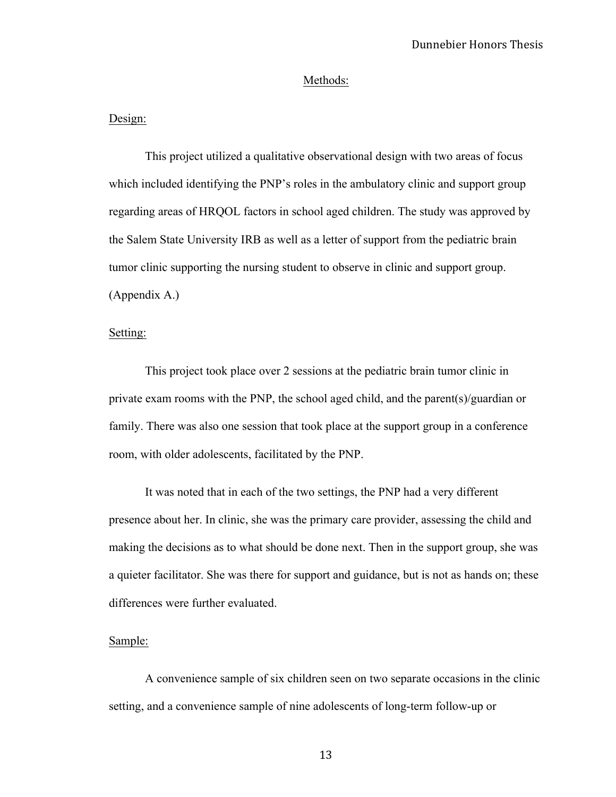#### Methods:

#### Design:

This project utilized a qualitative observational design with two areas of focus which included identifying the PNP's roles in the ambulatory clinic and support group regarding areas of HRQOL factors in school aged children. The study was approved by the Salem State University IRB as well as a letter of support from the pediatric brain tumor clinic supporting the nursing student to observe in clinic and support group. (Appendix A.)

#### Setting:

This project took place over 2 sessions at the pediatric brain tumor clinic in private exam rooms with the PNP, the school aged child, and the parent(s)/guardian or family. There was also one session that took place at the support group in a conference room, with older adolescents, facilitated by the PNP.

It was noted that in each of the two settings, the PNP had a very different presence about her. In clinic, she was the primary care provider, assessing the child and making the decisions as to what should be done next. Then in the support group, she was a quieter facilitator. She was there for support and guidance, but is not as hands on; these differences were further evaluated.

#### Sample:

A convenience sample of six children seen on two separate occasions in the clinic setting, and a convenience sample of nine adolescents of long-term follow-up or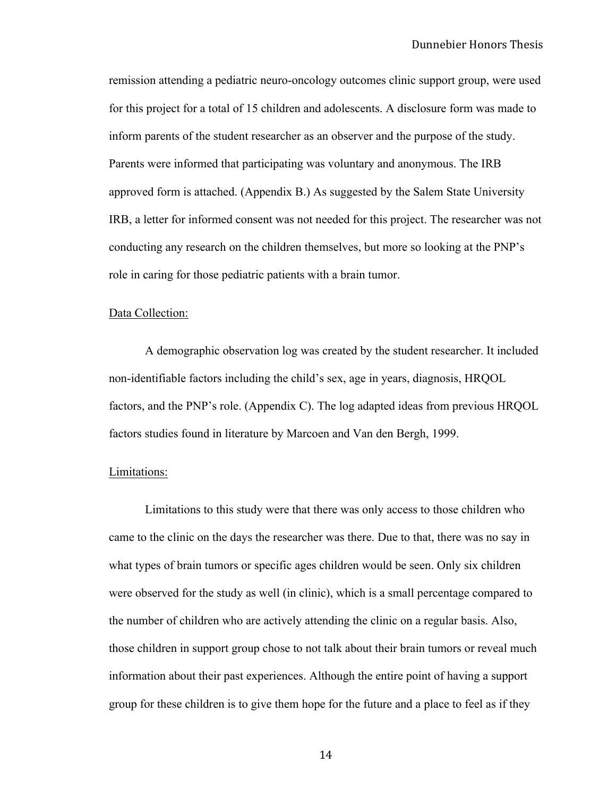remission attending a pediatric neuro-oncology outcomes clinic support group, were used for this project for a total of 15 children and adolescents. A disclosure form was made to inform parents of the student researcher as an observer and the purpose of the study. Parents were informed that participating was voluntary and anonymous. The IRB approved form is attached. (Appendix B.) As suggested by the Salem State University IRB, a letter for informed consent was not needed for this project. The researcher was not conducting any research on the children themselves, but more so looking at the PNP's role in caring for those pediatric patients with a brain tumor.

#### Data Collection:

A demographic observation log was created by the student researcher. It included non-identifiable factors including the child's sex, age in years, diagnosis, HRQOL factors, and the PNP's role. (Appendix C). The log adapted ideas from previous HRQOL factors studies found in literature by Marcoen and Van den Bergh, 1999.

#### Limitations:

Limitations to this study were that there was only access to those children who came to the clinic on the days the researcher was there. Due to that, there was no say in what types of brain tumors or specific ages children would be seen. Only six children were observed for the study as well (in clinic), which is a small percentage compared to the number of children who are actively attending the clinic on a regular basis. Also, those children in support group chose to not talk about their brain tumors or reveal much information about their past experiences. Although the entire point of having a support group for these children is to give them hope for the future and a place to feel as if they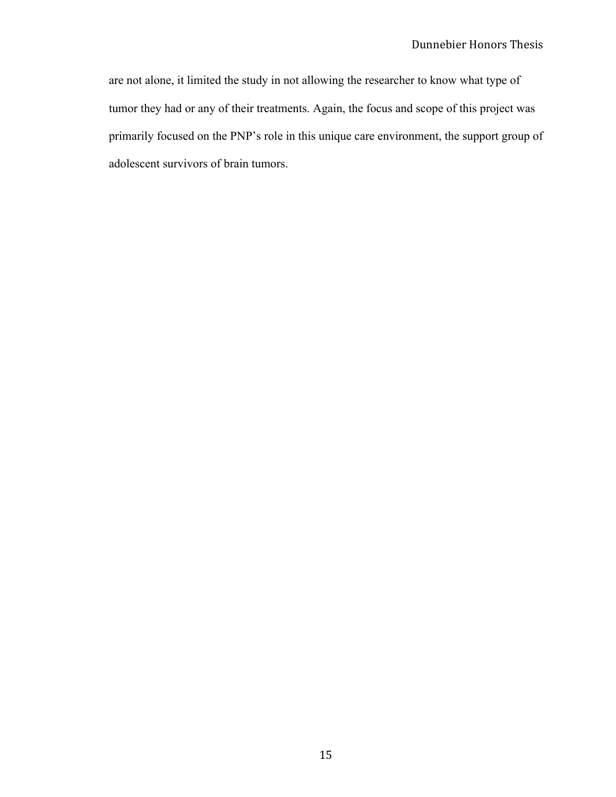are not alone, it limited the study in not allowing the researcher to know what type of tumor they had or any of their treatments. Again, the focus and scope of this project was primarily focused on the PNP's role in this unique care environment, the support group of adolescent survivors of brain tumors.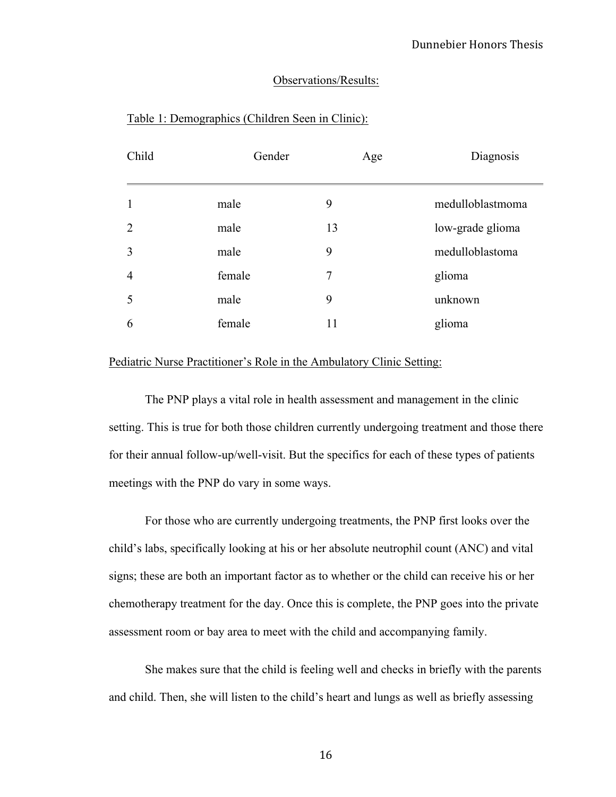### Observations/Results:

| medulloblastmoma |
|------------------|
| low-grade glioma |
| medulloblastoma  |
|                  |
|                  |
|                  |
|                  |

#### Table 1: Demographics (Children Seen in Clinic):

#### Pediatric Nurse Practitioner's Role in the Ambulatory Clinic Setting:

The PNP plays a vital role in health assessment and management in the clinic setting. This is true for both those children currently undergoing treatment and those there for their annual follow-up/well-visit. But the specifics for each of these types of patients meetings with the PNP do vary in some ways.

For those who are currently undergoing treatments, the PNP first looks over the child's labs, specifically looking at his or her absolute neutrophil count (ANC) and vital signs; these are both an important factor as to whether or the child can receive his or her chemotherapy treatment for the day. Once this is complete, the PNP goes into the private assessment room or bay area to meet with the child and accompanying family.

She makes sure that the child is feeling well and checks in briefly with the parents and child. Then, she will listen to the child's heart and lungs as well as briefly assessing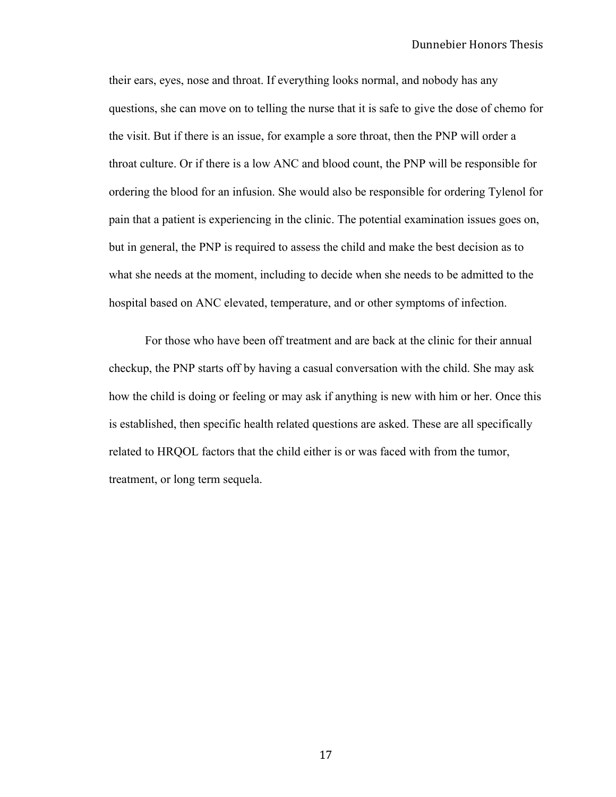their ears, eyes, nose and throat. If everything looks normal, and nobody has any questions, she can move on to telling the nurse that it is safe to give the dose of chemo for the visit. But if there is an issue, for example a sore throat, then the PNP will order a throat culture. Or if there is a low ANC and blood count, the PNP will be responsible for ordering the blood for an infusion. She would also be responsible for ordering Tylenol for pain that a patient is experiencing in the clinic. The potential examination issues goes on, but in general, the PNP is required to assess the child and make the best decision as to what she needs at the moment, including to decide when she needs to be admitted to the hospital based on ANC elevated, temperature, and or other symptoms of infection.

For those who have been off treatment and are back at the clinic for their annual checkup, the PNP starts off by having a casual conversation with the child. She may ask how the child is doing or feeling or may ask if anything is new with him or her. Once this is established, then specific health related questions are asked. These are all specifically related to HRQOL factors that the child either is or was faced with from the tumor, treatment, or long term sequela.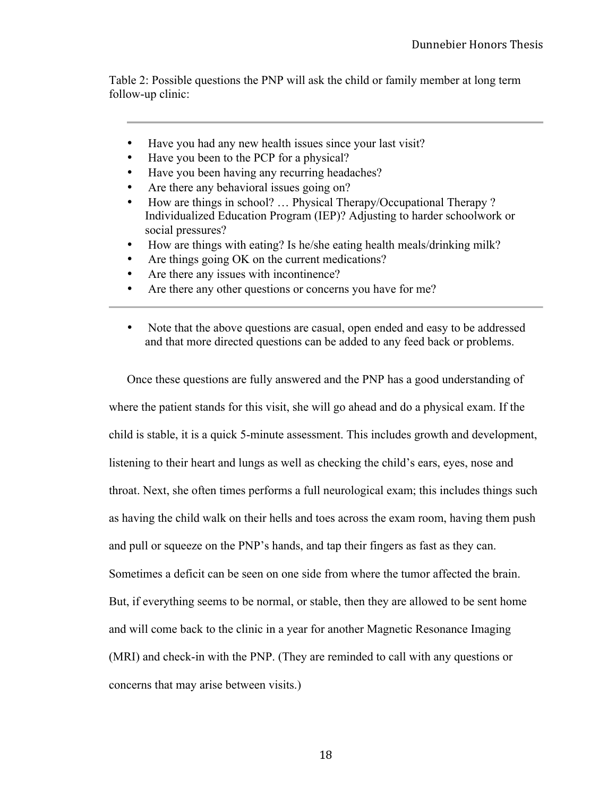Table 2: Possible questions the PNP will ask the child or family member at long term follow-up clinic:

- Have you had any new health issues since your last visit?
- Have you been to the PCP for a physical?
- Have you been having any recurring headaches?
- Are there any behavioral issues going on?
- How are things in school? ... Physical Therapy/Occupational Therapy? Individualized Education Program (IEP)? Adjusting to harder schoolwork or social pressures?
- How are things with eating? Is he/she eating health meals/drinking milk?
- Are things going OK on the current medications?
- Are there any issues with incontinence?
- Are there any other questions or concerns you have for me?
- Note that the above questions are casual, open ended and easy to be addressed and that more directed questions can be added to any feed back or problems.

Once these questions are fully answered and the PNP has a good understanding of where the patient stands for this visit, she will go ahead and do a physical exam. If the child is stable, it is a quick 5-minute assessment. This includes growth and development, listening to their heart and lungs as well as checking the child's ears, eyes, nose and throat. Next, she often times performs a full neurological exam; this includes things such as having the child walk on their hells and toes across the exam room, having them push and pull or squeeze on the PNP's hands, and tap their fingers as fast as they can. Sometimes a deficit can be seen on one side from where the tumor affected the brain. But, if everything seems to be normal, or stable, then they are allowed to be sent home and will come back to the clinic in a year for another Magnetic Resonance Imaging (MRI) and check-in with the PNP. (They are reminded to call with any questions or concerns that may arise between visits.)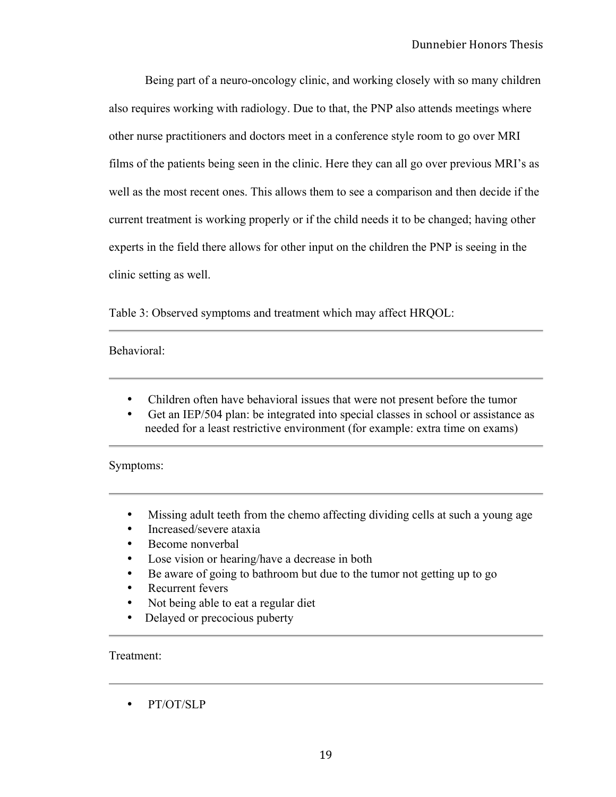Being part of a neuro-oncology clinic, and working closely with so many children also requires working with radiology. Due to that, the PNP also attends meetings where other nurse practitioners and doctors meet in a conference style room to go over MRI films of the patients being seen in the clinic. Here they can all go over previous MRI's as well as the most recent ones. This allows them to see a comparison and then decide if the current treatment is working properly or if the child needs it to be changed; having other experts in the field there allows for other input on the children the PNP is seeing in the clinic setting as well.

Table 3: Observed symptoms and treatment which may affect HRQOL:

#### Behavioral:

- Children often have behavioral issues that were not present before the tumor
- Get an IEP/504 plan: be integrated into special classes in school or assistance as needed for a least restrictive environment (for example: extra time on exams)

#### Symptoms:

- Missing adult teeth from the chemo affecting dividing cells at such a young age
- Increased/severe ataxia
- Become nonverbal
- Lose vision or hearing/have a decrease in both
- Be aware of going to bathroom but due to the tumor not getting up to go
- Recurrent fevers
- Not being able to eat a regular diet
- Delayed or precocious puberty

Treatment:

• PT/OT/SLP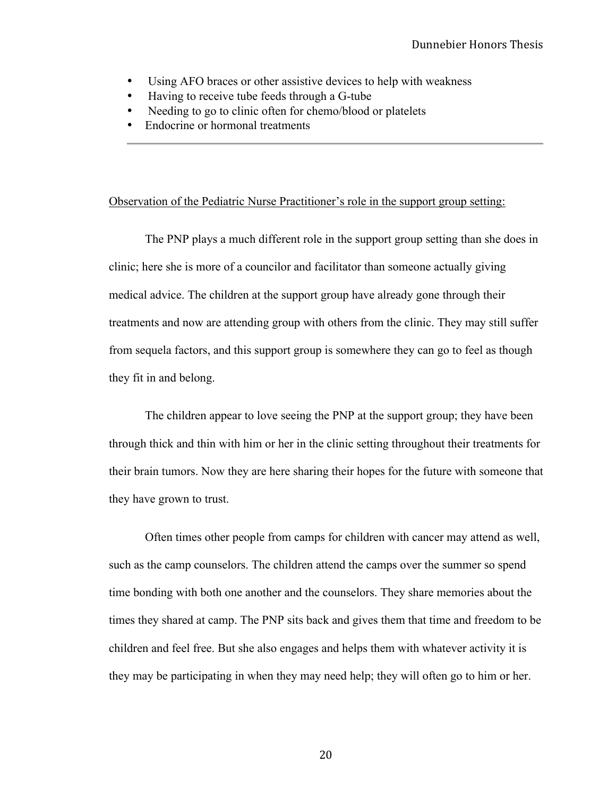- Using AFO braces or other assistive devices to help with weakness
- Having to receive tube feeds through a G-tube
- Needing to go to clinic often for chemo/blood or platelets
- Endocrine or hormonal treatments

#### Observation of the Pediatric Nurse Practitioner's role in the support group setting:

The PNP plays a much different role in the support group setting than she does in clinic; here she is more of a councilor and facilitator than someone actually giving medical advice. The children at the support group have already gone through their treatments and now are attending group with others from the clinic. They may still suffer from sequela factors, and this support group is somewhere they can go to feel as though they fit in and belong.

The children appear to love seeing the PNP at the support group; they have been through thick and thin with him or her in the clinic setting throughout their treatments for their brain tumors. Now they are here sharing their hopes for the future with someone that they have grown to trust.

Often times other people from camps for children with cancer may attend as well, such as the camp counselors. The children attend the camps over the summer so spend time bonding with both one another and the counselors. They share memories about the times they shared at camp. The PNP sits back and gives them that time and freedom to be children and feel free. But she also engages and helps them with whatever activity it is they may be participating in when they may need help; they will often go to him or her.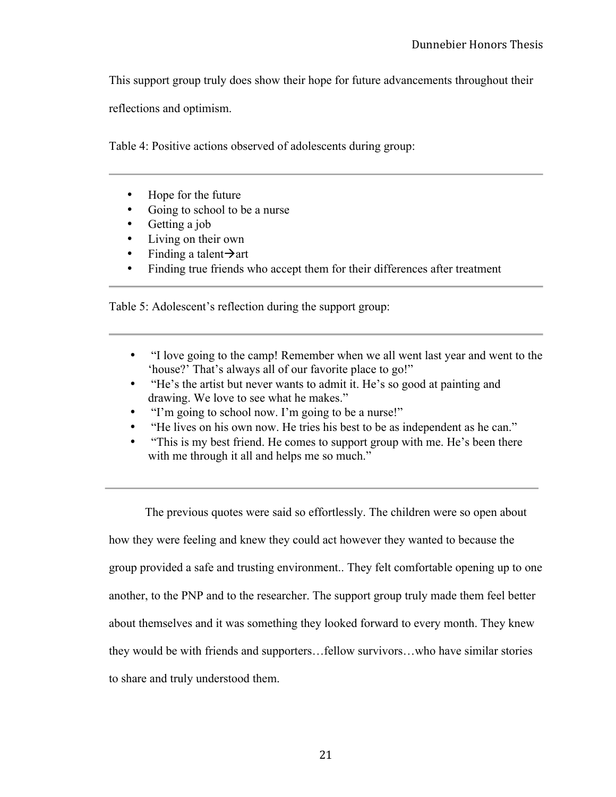This support group truly does show their hope for future advancements throughout their

reflections and optimism.

Table 4: Positive actions observed of adolescents during group:

- Hope for the future
- Going to school to be a nurse
- Getting a job
- Living on their own
- Finding a talent $\rightarrow$ art
- Finding true friends who accept them for their differences after treatment

Table 5: Adolescent's reflection during the support group:

- "I love going to the camp! Remember when we all went last year and went to the 'house?' That's always all of our favorite place to go!"
- "He's the artist but never wants to admit it. He's so good at painting and drawing. We love to see what he makes."
- "I'm going to school now. I'm going to be a nurse!"
- "He lives on his own now. He tries his best to be as independent as he can."
- "This is my best friend. He comes to support group with me. He's been there with me through it all and helps me so much."

The previous quotes were said so effortlessly. The children were so open about how they were feeling and knew they could act however they wanted to because the group provided a safe and trusting environment.. They felt comfortable opening up to one another, to the PNP and to the researcher. The support group truly made them feel better about themselves and it was something they looked forward to every month. They knew they would be with friends and supporters…fellow survivors…who have similar stories to share and truly understood them.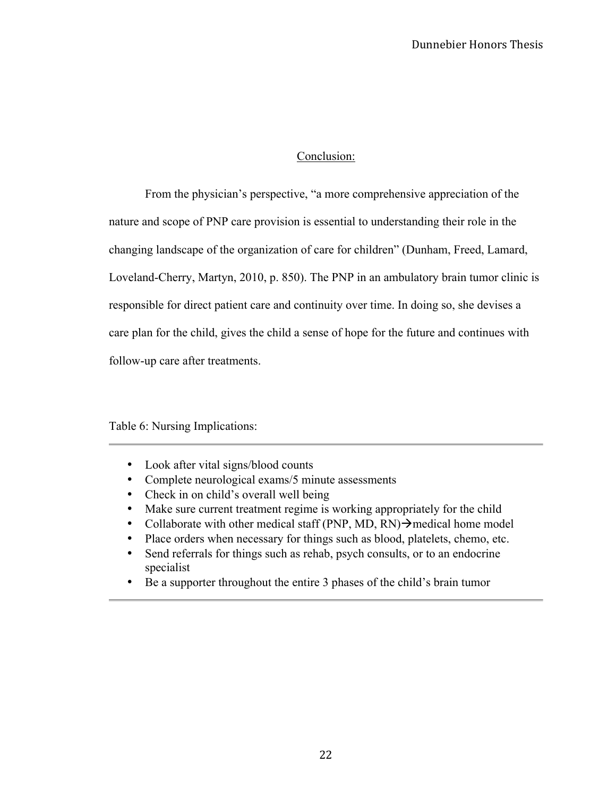### Conclusion:

From the physician's perspective, "a more comprehensive appreciation of the nature and scope of PNP care provision is essential to understanding their role in the changing landscape of the organization of care for children" (Dunham, Freed, Lamard, Loveland-Cherry, Martyn, 2010, p. 850). The PNP in an ambulatory brain tumor clinic is responsible for direct patient care and continuity over time. In doing so, she devises a care plan for the child, gives the child a sense of hope for the future and continues with follow-up care after treatments.

# Table 6: Nursing Implications:

- Look after vital signs/blood counts
- Complete neurological exams/5 minute assessments
- Check in on child's overall well being
- Make sure current treatment regime is working appropriately for the child
- Collaborate with other medical staff (PNP, MD, RN) $\rightarrow$  medical home model
- Place orders when necessary for things such as blood, platelets, chemo, etc.
- Send referrals for things such as rehab, psych consults, or to an endocrine specialist
- Be a supporter throughout the entire 3 phases of the child's brain tumor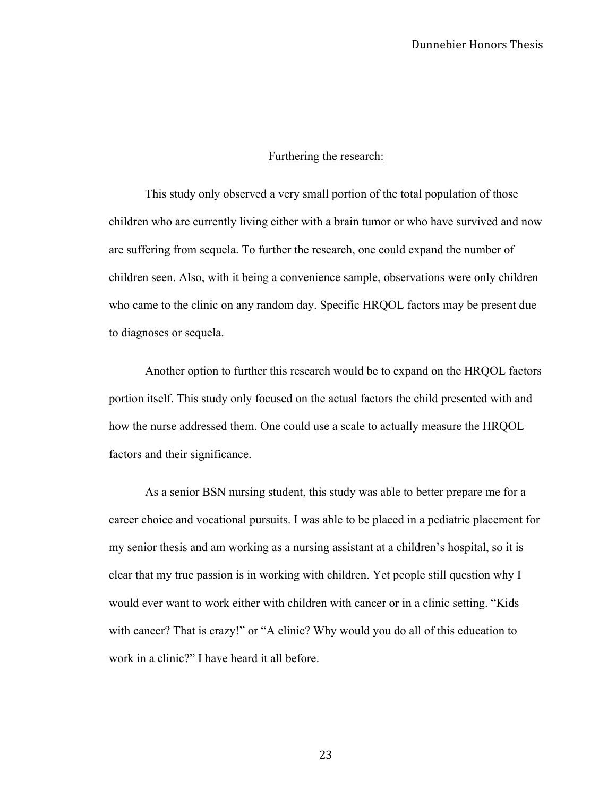#### Furthering the research:

This study only observed a very small portion of the total population of those children who are currently living either with a brain tumor or who have survived and now are suffering from sequela. To further the research, one could expand the number of children seen. Also, with it being a convenience sample, observations were only children who came to the clinic on any random day. Specific HRQOL factors may be present due to diagnoses or sequela.

Another option to further this research would be to expand on the HRQOL factors portion itself. This study only focused on the actual factors the child presented with and how the nurse addressed them. One could use a scale to actually measure the HRQOL factors and their significance.

As a senior BSN nursing student, this study was able to better prepare me for a career choice and vocational pursuits. I was able to be placed in a pediatric placement for my senior thesis and am working as a nursing assistant at a children's hospital, so it is clear that my true passion is in working with children. Yet people still question why I would ever want to work either with children with cancer or in a clinic setting. "Kids with cancer? That is crazy!" or "A clinic? Why would you do all of this education to work in a clinic?" I have heard it all before.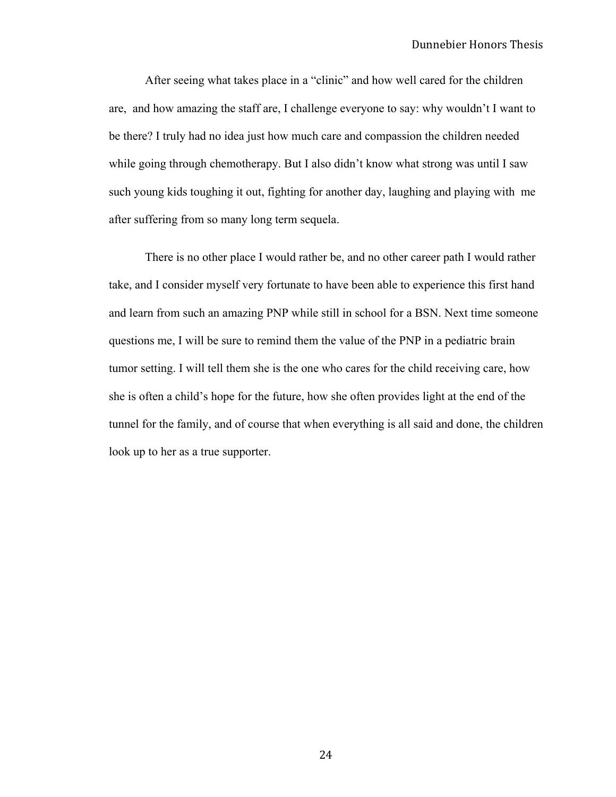After seeing what takes place in a "clinic" and how well cared for the children are, and how amazing the staff are, I challenge everyone to say: why wouldn't I want to be there? I truly had no idea just how much care and compassion the children needed while going through chemotherapy. But I also didn't know what strong was until I saw such young kids toughing it out, fighting for another day, laughing and playing with me after suffering from so many long term sequela.

There is no other place I would rather be, and no other career path I would rather take, and I consider myself very fortunate to have been able to experience this first hand and learn from such an amazing PNP while still in school for a BSN. Next time someone questions me, I will be sure to remind them the value of the PNP in a pediatric brain tumor setting. I will tell them she is the one who cares for the child receiving care, how she is often a child's hope for the future, how she often provides light at the end of the tunnel for the family, and of course that when everything is all said and done, the children look up to her as a true supporter.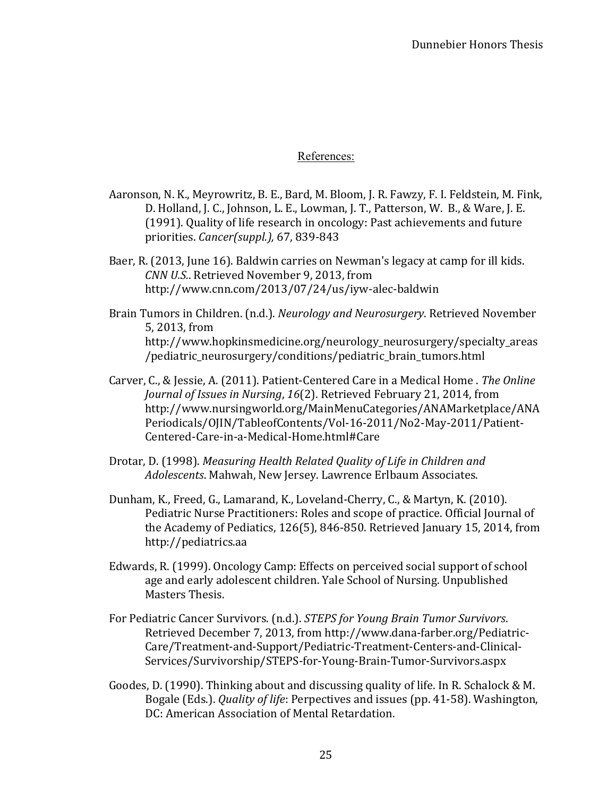# References:

- Aaronson, N. K., Meyrowritz, B. E., Bard, M. Bloom, J. R. Fawzy, F. I. Feldstein, M. Fink, D. Holland, J. C., Johnson, L. E., Lowman, J. T., Patterson, W. B., & Ware, J. E. (1991). Quality of life research in oncology: Past achievements and future priorities. *Cancer(suppl.)*, 67, 839-843
- Baer, R. (2013, June 16). Baldwin carries on Newman's legacy at camp for ill kids. *CNN U.S.*. Retrieved November 9, 2013, from http://www.cnn.com/2013/07/24/us/iyw-alec-baldwin
- Brain Tumors in Children. (n.d.). *Neurology and Neurosurgery*. Retrieved November 5, 2013, from http://www.hopkinsmedicine.org/neurology\_neurosurgery/specialty\_areas /pediatric\_neurosurgery/conditions/pediatric\_brain\_tumors.html
- Carver, C., & Jessie, A. (2011). Patient-Centered Care in a Medical Home . *The Online Journal of Issues in Nursing, 16*(2). Retrieved February 21, 2014, from http://www.nursingworld.org/MainMenuCategories/ANAMarketplace/ANA Periodicals/OJIN/TableofContents/Vol-16-2011/No2-May-2011/Patient-Centered-Care-in-a-Medical-Home.html#Care
- Drotar, D. (1998). *Measuring Health Related Quality of Life in Children and* Adolescents. Mahwah, New Jersey. Lawrence Erlbaum Associates.
- Dunham, K., Freed, G., Lamarand, K., Loveland-Cherry, C., & Martyn, K. (2010). Pediatric Nurse Practitioners: Roles and scope of practice. Official Journal of the Academy of Pediatics, 126(5), 846-850. Retrieved January 15, 2014, from http://pediatrics.aa
- Edwards, R. (1999). Oncology Camp: Effects on perceived social support of school age and early adolescent children. Yale School of Nursing. Unpublished Masters Thesis.
- For Pediatric Cancer Survivors. (n.d.). *STEPS for Young Brain Tumor Survivors.* Retrieved December 7, 2013, from http://www.dana-farber.org/Pediatric-Care/Treatment-and-Support/Pediatric-Treatment-Centers-and-Clinical-Services/Survivorship/STEPS-for-Young-Brain-Tumor-Survivors.aspx
- Goodes, D. (1990). Thinking about and discussing quality of life. In R. Schalock & M. Bogale (Eds.). *Quality of life*: Perpectives and issues (pp. 41-58). Washington, DC: American Association of Mental Retardation.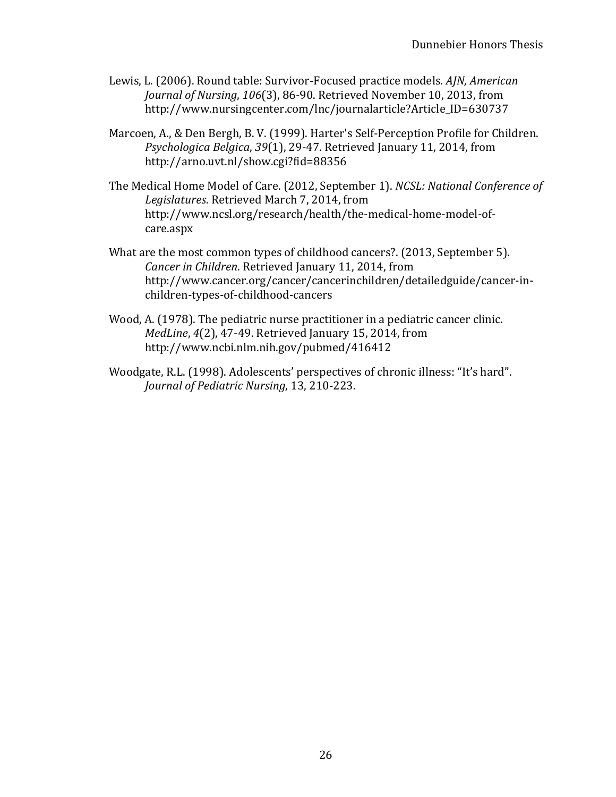- Lewis, L. (2006). Round table: Survivor-Focused practice models. *AJN, American Journal of Nursing, 106*(3), 86-90. Retrieved November 10, 2013, from http://www.nursingcenter.com/lnc/journalarticle?Article\_ID=630737
- Marcoen, A., & Den Bergh, B. V. (1999). Harter's Self-Perception Profile for Children. *Psychologica Belgica, 39(1), 29-47.* Retrieved January 11, 2014, from http://arno.uvt.nl/show.cgi?fid=88356
- The Medical Home Model of Care. (2012, September 1). *NCSL: National Conference of* Legislatures. Retrieved March 7, 2014, from http://www.ncsl.org/research/health/the-medical-home-model-ofcare.aspx
- What are the most common types of childhood cancers?. (2013, September 5). *Cancer in Children.* Retrieved January 11, 2014, from http://www.cancer.org/cancer/cancerinchildren/detailedguide/cancer-inchildren-types-of-childhood-cancers
- Wood, A. (1978). The pediatric nurse practitioner in a pediatric cancer clinic. *MedLine*, 4(2), 47-49. Retrieved January 15, 2014, from http://www.ncbi.nlm.nih.gov/pubmed/416412
- Woodgate, R.L. (1998). Adolescents' perspectives of chronic illness: "It's hard". *Journal of Pediatric Nursing*, 13, 210-223.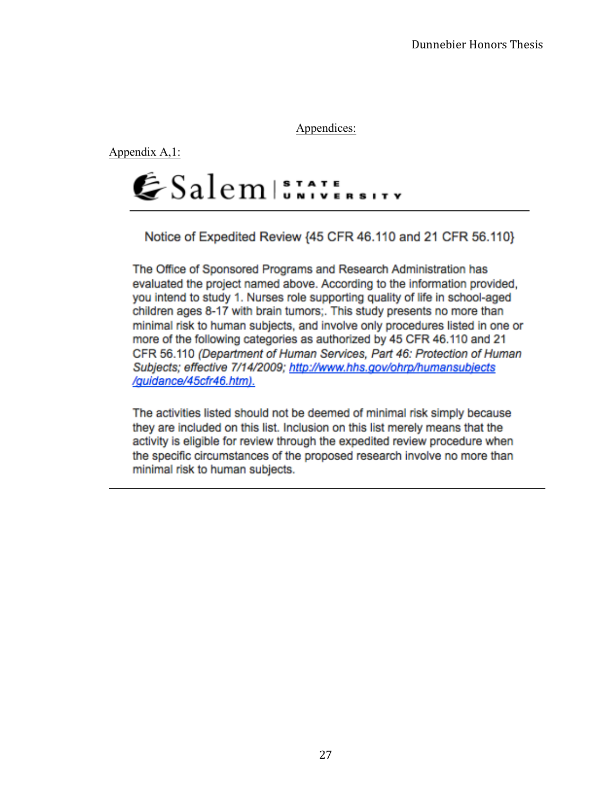Appendices:

Appendix A,1:



Notice of Expedited Review {45 CFR 46.110 and 21 CFR 56.110}

The Office of Sponsored Programs and Research Administration has evaluated the project named above. According to the information provided, you intend to study 1. Nurses role supporting quality of life in school-aged children ages 8-17 with brain tumors;. This study presents no more than minimal risk to human subjects, and involve only procedures listed in one or more of the following categories as authorized by 45 CFR 46.110 and 21 CFR 56.110 (Department of Human Services, Part 46: Protection of Human Subjects; effective 7/14/2009; http://www.hhs.gov/ohrp/humansubjects /guidance/45cfr46.htm).

The activities listed should not be deemed of minimal risk simply because they are included on this list. Inclusion on this list merely means that the activity is eligible for review through the expedited review procedure when the specific circumstances of the proposed research involve no more than minimal risk to human subjects.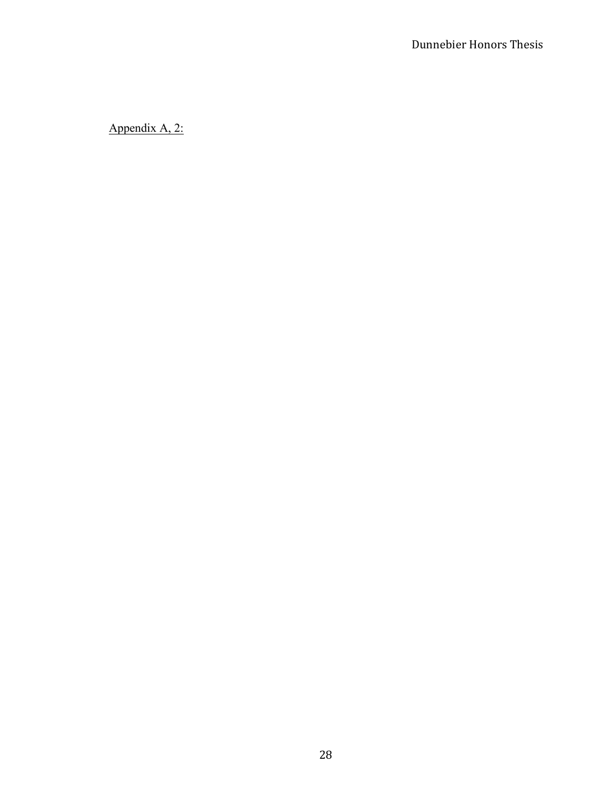Appendix A, 2: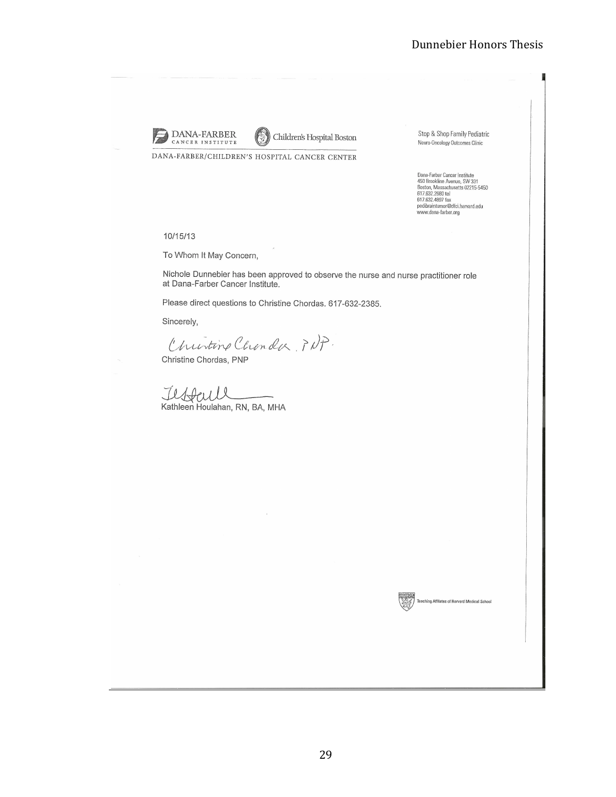

Children's Hospital Boston

DANA-FARBER/CHILDREN'S HOSPITAL CANCER CENTER

Stop & Shop Family Pediatric Neuro-Oncology Outcomes Clinic

Dana-Farber Cancer Institute<br>450 Brookline Avenue, SW 331<br>Boston, Massachusetts 02215-5450<br>617.632.2680 tel<br>617.632.2689 fax<br>pedibraintumor@dfci.harvard.edu<br>www.dana-farber.org

#### 10/15/13

To Whom It May Concern,

Nichole Dunnebier has been approved to observe the nurse and nurse practitioner role at Dana-Farber Cancer Institute.

Please direct questions to Christine Chordas. 617-632-2385.

Sincerely,

Churtine Chander, PNP.

Christine Chordas, PNP

Il **Peuvell**<br>Kathleen Houlahan, RN, BA, MHA

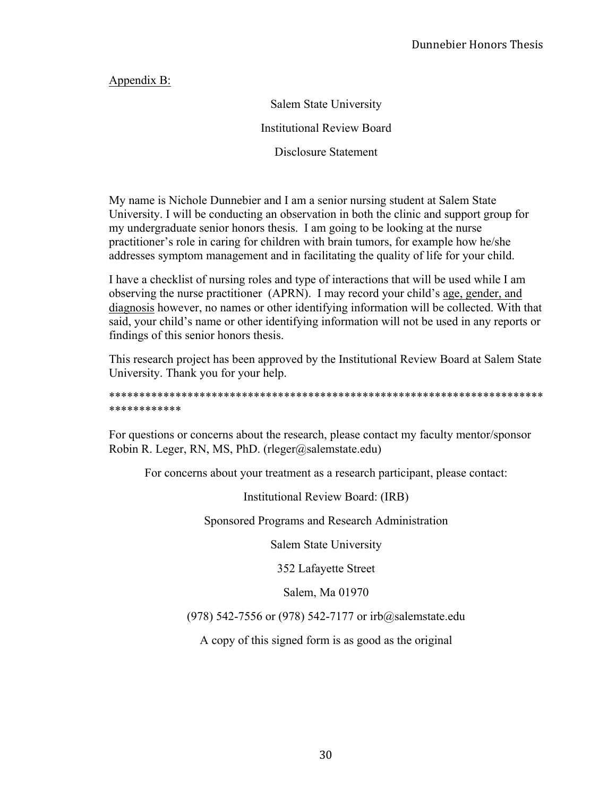Appendix B:

Salem State University Institutional Review Board

Disclosure Statement

My name is Nichole Dunnebier and I am a senior nursing student at Salem State University. I will be conducting an observation in both the clinic and support group for my undergraduate senior honors thesis. I am going to be looking at the nurse practitioner's role in caring for children with brain tumors, for example how he/she addresses symptom management and in facilitating the quality of life for your child.

I have a checklist of nursing roles and type of interactions that will be used while I am observing the nurse practitioner (APRN). I may record your child's age, gender, and diagnosis however, no names or other identifying information will be collected. With that said, your child's name or other identifying information will not be used in any reports or findings of this senior honors thesis.

This research project has been approved by the Institutional Review Board at Salem State University. Thank you for your help.

\*\*\*\*\*\*\*\*\*\*\*\*\*\*\*\*\*\*\*\*\*\*\*\*\*\*\*\*\*\*\*\*\*\*\*\*\*\*\*\*\*\*\*\*\*\*\*\*\*\*\*\*\*\*\*\*\*\*\*\*\*\*\*\*\*\*\*\*\*\*\*\* \*\*\*\*\*\*\*\*\*\*\*\*

For questions or concerns about the research, please contact my faculty mentor/sponsor Robin R. Leger, RN, MS, PhD. (rleger@salemstate.edu)

For concerns about your treatment as a research participant, please contact:

Institutional Review Board: (IRB)

Sponsored Programs and Research Administration

Salem State University

352 Lafayette Street

Salem, Ma 01970

(978) 542-7556 or (978) 542-7177 or irb@salemstate.edu

A copy of this signed form is as good as the original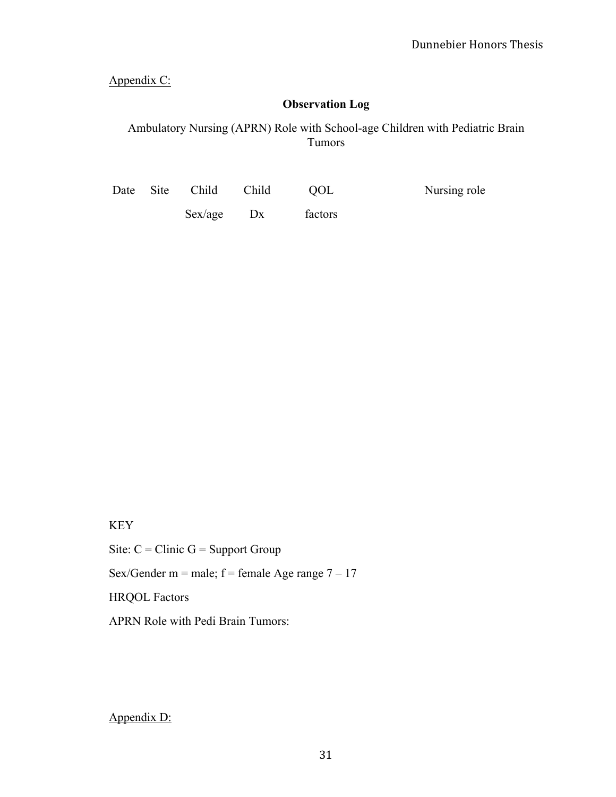Appendix C:

# **Observation Log**

Ambulatory Nursing (APRN) Role with School-age Children with Pediatric Brain Tumors

|  | Date Site Child Child |    | OOL     | Nursing role |
|--|-----------------------|----|---------|--------------|
|  | Sex/age               | Dx | factors |              |

# KEY

Site:  $C =$  Clinic  $G =$  Support Group Sex/Gender m = male;  $f =$  female Age range  $7 - 17$ HRQOL Factors APRN Role with Pedi Brain Tumors:

# Appendix D: